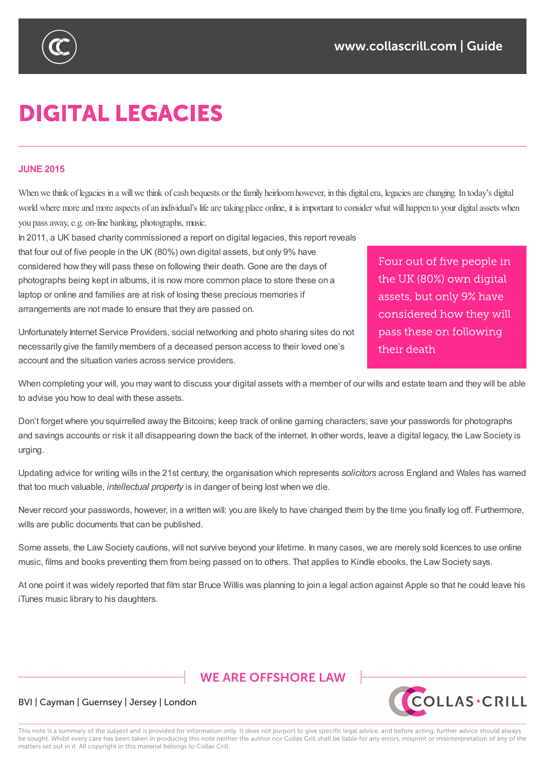

# **DIGITAL LEGACIES**

#### **JUNE 2015**

When we think of legacies in a will we think of cash bequests or the family heirloom however, in this digital era, legacies are changing. In today's digital world where more and more aspects of an individual's life are taking place online, it is important to consider what will happen to your digital assets when you pass away, e.g. on-line banking, photographs, music.

In 2011, a UK based charity commissioned a report on digital legacies, this report reveals that four out of five people in the UK (80%) own digital assets, but only 9% have considered how they will pass these on following their death. Gone are the days of photographs being kept in albums, it is now more common place to store these on a laptop or online and families are at risk of losing these precious memories if arrangements are not made to ensure that they are passed on.

Four out of five people in the UK (80%) own digital assets, but only 9% have considered how they will pass these on following their death

Unfortunately Internet Service Providers, social networking and photo sharing sites do not necessarily give the family members of a deceased person access to their loved one's account and the situation varies across service providers.

When completing your will, you may want to discuss your digital assets with a member of our wills and estate team and they will be able to advise you how to deal with these assets.

Don't forget where you squirrelled away the Bitcoins; keep track of online gaming characters; save your passwords for photographs and savings accounts or risk it all disappearing down the back of the internet. In other words, leave a digital legacy, the Law Society is urging.

Updating advice for writing wills in the 21st century, the organisation which represents *solicitors* across England and Wales has warned that too much valuable, *intellectual property* is in danger of being lost when we die.

Never record your passwords, however, in a written will: you are likely to have changed them by the time you finally log off. Furthermore, wills are public documents that can be published.

Some assets, the Law Society cautions, will not survive beyond your lifetime. In many cases, we are merely sold licences to use online music, films and books preventing them from being passed on to others. That applies to Kindle ebooks, the Law Society says.

At one point it was widely reported that film star Bruce Willis was planning to join a legal action against Apple so that he could leave his iTunes music library to his daughters.

## **WE ARE OFFSHORE LAW**



## BVI | Cayman | Guernsey | Jersey | London

This note is a summary of the subject and is provided for information only. It does not purport to give specific legal advice, and before acting, further advice should always be sought. Whilst every care has been taken in producing this note neither the author nor Collas Crill shall be liable for any errors, misprint or misinterpretation of any of the matters set out in it. All copyright in this material belongs to Collas Crill.